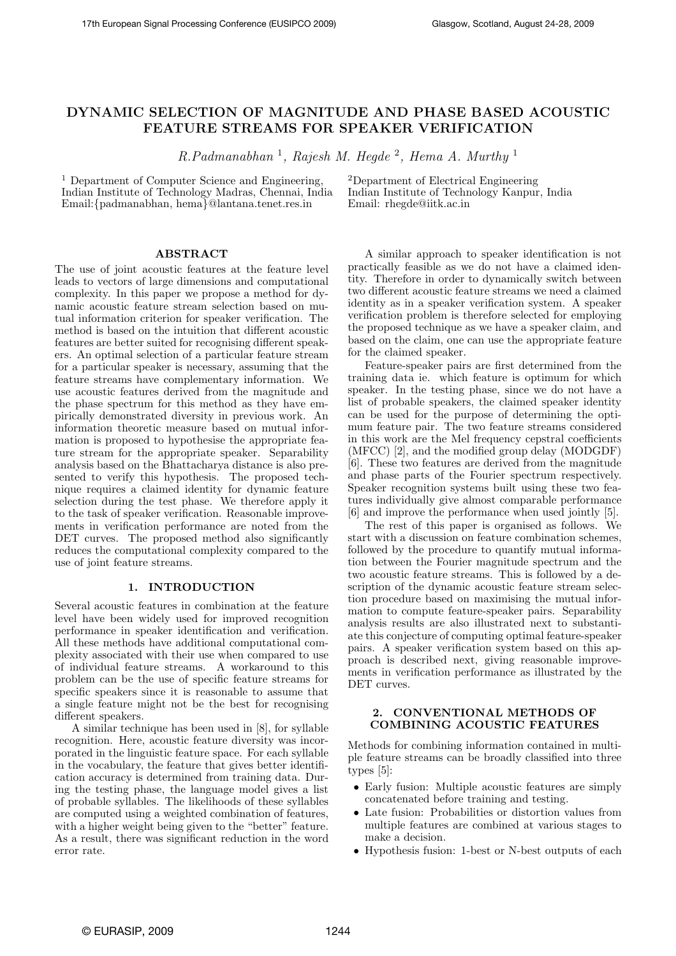# DYNAMIC SELECTION OF MAGNITUDE AND PHASE BASED ACOUSTIC FEATURE STREAMS FOR SPEAKER VERIFICATION

R.Padmanabhan<sup>1</sup>, Rajesh M. Hegde<sup>2</sup>, Hema A. Murthy<sup>1</sup>

<sup>1</sup> Department of Computer Science and Engineering, Indian Institute of Technology Madras, Chennai, India Email:{padmanabhan, hema}@lantana.tenet.res.in

<sup>2</sup>Department of Electrical Engineering Indian Institute of Technology Kanpur, India Email: rhegde@iitk.ac.in

### ABSTRACT

The use of joint acoustic features at the feature level leads to vectors of large dimensions and computational complexity. In this paper we propose a method for dynamic acoustic feature stream selection based on mutual information criterion for speaker verification. The method is based on the intuition that different acoustic features are better suited for recognising different speakers. An optimal selection of a particular feature stream for a particular speaker is necessary, assuming that the feature streams have complementary information. We use acoustic features derived from the magnitude and the phase spectrum for this method as they have empirically demonstrated diversity in previous work. An information theoretic measure based on mutual information is proposed to hypothesise the appropriate feature stream for the appropriate speaker. Separability analysis based on the Bhattacharya distance is also presented to verify this hypothesis. The proposed technique requires a claimed identity for dynamic feature selection during the test phase. We therefore apply it to the task of speaker verification. Reasonable improvements in verification performance are noted from the DET curves. The proposed method also significantly reduces the computational complexity compared to the use of joint feature streams.

## 1. INTRODUCTION

Several acoustic features in combination at the feature level have been widely used for improved recognition performance in speaker identification and verification. All these methods have additional computational complexity associated with their use when compared to use of individual feature streams. A workaround to this problem can be the use of specific feature streams for specific speakers since it is reasonable to assume that a single feature might not be the best for recognising different speakers.

A similar technique has been used in [8], for syllable recognition. Here, acoustic feature diversity was incorporated in the linguistic feature space. For each syllable in the vocabulary, the feature that gives better identification accuracy is determined from training data. During the testing phase, the language model gives a list of probable syllables. The likelihoods of these syllables are computed using a weighted combination of features, with a higher weight being given to the "better" feature. As a result, there was significant reduction in the word error rate.

A similar approach to speaker identification is not practically feasible as we do not have a claimed identity. Therefore in order to dynamically switch between two different acoustic feature streams we need a claimed identity as in a speaker verification system. A speaker verification problem is therefore selected for employing the proposed technique as we have a speaker claim, and based on the claim, one can use the appropriate feature for the claimed speaker.

Feature-speaker pairs are first determined from the training data ie. which feature is optimum for which speaker. In the testing phase, since we do not have a list of probable speakers, the claimed speaker identity can be used for the purpose of determining the optimum feature pair. The two feature streams considered in this work are the Mel frequency cepstral coefficients (MFCC) [2], and the modified group delay (MODGDF) [6]. These two features are derived from the magnitude and phase parts of the Fourier spectrum respectively. Speaker recognition systems built using these two features individually give almost comparable performance [6] and improve the performance when used jointly [5].

The rest of this paper is organised as follows. We start with a discussion on feature combination schemes, followed by the procedure to quantify mutual information between the Fourier magnitude spectrum and the two acoustic feature streams. This is followed by a description of the dynamic acoustic feature stream selection procedure based on maximising the mutual information to compute feature-speaker pairs. Separability analysis results are also illustrated next to substantiate this conjecture of computing optimal feature-speaker pairs. A speaker verification system based on this approach is described next, giving reasonable improvements in verification performance as illustrated by the DET curves.

## 2. CONVENTIONAL METHODS OF COMBINING ACOUSTIC FEATURES

Methods for combining information contained in multiple feature streams can be broadly classified into three types [5]:

- Early fusion: Multiple acoustic features are simply concatenated before training and testing.
- Late fusion: Probabilities or distortion values from multiple features are combined at various stages to make a decision.
- Hypothesis fusion: 1-best or N-best outputs of each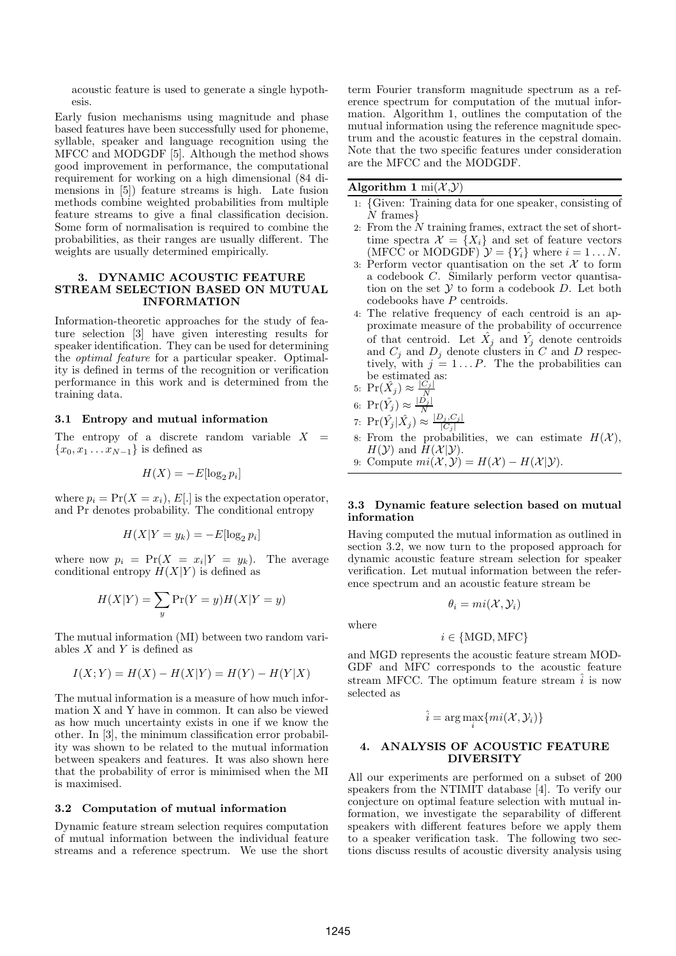acoustic feature is used to generate a single hypothesis.

Early fusion mechanisms using magnitude and phase based features have been successfully used for phoneme, syllable, speaker and language recognition using the MFCC and MODGDF [5]. Although the method shows good improvement in performance, the computational requirement for working on a high dimensional (84 dimensions in [5]) feature streams is high. Late fusion methods combine weighted probabilities from multiple feature streams to give a final classification decision. Some form of normalisation is required to combine the probabilities, as their ranges are usually different. The weights are usually determined empirically.

## 3. DYNAMIC ACOUSTIC FEATURE STREAM SELECTION BASED ON MUTUAL INFORMATION

Information-theoretic approaches for the study of feature selection [3] have given interesting results for speaker identification. They can be used for determining the optimal feature for a particular speaker. Optimality is defined in terms of the recognition or verification performance in this work and is determined from the training data.

#### 3.1 Entropy and mutual information

The entropy of a discrete random variable  $X =$  ${x_0, x_1 ... x_{N-1}}$  is defined as

$$
H(X) = -E[\log_2 p_i]
$$

where  $p_i = \Pr(X = x_i), E[.]$  is the expectation operator, and Pr denotes probability. The conditional entropy

$$
H(X|Y=y_k) = -E[\log_2 p_i]
$$

where now  $p_i = \Pr(X = x_i | Y = y_k)$ . The average conditional entropy  $H(X|Y)$  is defined as

$$
H(X|Y) = \sum_{y} \Pr(Y = y) H(X|Y = y)
$$

The mutual information (MI) between two random variables  $X$  and  $Y$  is defined as

$$
I(X;Y) = H(X) - H(X|Y) = H(Y) - H(Y|X)
$$

The mutual information is a measure of how much information X and Y have in common. It can also be viewed as how much uncertainty exists in one if we know the other. In [3], the minimum classification error probability was shown to be related to the mutual information between speakers and features. It was also shown here that the probability of error is minimised when the MI is maximised.

#### 3.2 Computation of mutual information

Dynamic feature stream selection requires computation of mutual information between the individual feature streams and a reference spectrum. We use the short

term Fourier transform magnitude spectrum as a reference spectrum for computation of the mutual information. Algorithm 1, outlines the computation of the mutual information using the reference magnitude spectrum and the acoustic features in the cepstral domain. Note that the two specific features under consideration are the MFCC and the MODGDF.

#### Algorithm 1 mi $(\mathcal{X}, \mathcal{Y})$

- 1: {Given: Training data for one speaker, consisting of N frames}
- 2: From the  $N$  training frames, extract the set of shorttime spectra  $\mathcal{X} = \{X_i\}$  and set of feature vectors (MFCC or MODGDF)  $\mathcal{Y} = \{Y_i\}$  where  $i = 1...N$ .
- 3: Perform vector quantisation on the set  $\mathcal X$  to form a codebook C. Similarly perform vector quantisation on the set  $Y$  to form a codebook  $D$ . Let both codebooks have P centroids.
- 4: The relative frequency of each centroid is an approximate measure of the probability of occurrence of that centroid. Let  $\hat{X}_j$  and  $\hat{Y}_j$  denote centroids and  $C_j$  and  $D_j$  denote clusters in C and D respectively, with  $j = 1...P$ . The the probabilities can be estimated as:
- 5:  $\Pr(\hat{X}_j) \approx \frac{|C_j|}{N}$ 6:  $\Pr(\hat{Y}_j) \approx \frac{|D_j|}{N}$

$$
\frac{0.11(1j)}{7. \Pr(\hat{V} \mid \hat{Y}) \sim \frac{|D_j, C_j|}{r}}
$$

7: 
$$
\Pr(\hat{Y}_j | \hat{X}_j) \approx \frac{|D_j, C_j|}{|C_j|}
$$

- $\sum_{i=1}^{n}$   $\sum_{j=1}^{n}$  ( $C_j$ )<br>8: From the probabilities, we can estimate  $H(\mathcal{X})$ ,  $H(\mathcal{Y})$  and  $H(\mathcal{X}|\mathcal{Y})$ .
- 9: Compute  $mi(\mathcal{X}, \mathcal{Y}) = H(\mathcal{X}) H(\mathcal{X}|\mathcal{Y}).$

## 3.3 Dynamic feature selection based on mutual information

Having computed the mutual information as outlined in section 3.2, we now turn to the proposed approach for dynamic acoustic feature stream selection for speaker verification. Let mutual information between the reference spectrum and an acoustic feature stream be

where

$$
i \in \{\text{MGD}, \text{MFC}\}
$$

 $\theta_i = mi(\mathcal{X}, \mathcal{Y}_i)$ 

and MGD represents the acoustic feature stream MOD-GDF and MFC corresponds to the acoustic feature stream MFCC. The optimum feature stream  $\hat{i}$  is now selected as

$$
\hat{i} = \arg\max_{i} \{mi(\mathcal{X}, \mathcal{Y}_i)\}
$$

## 4. ANALYSIS OF ACOUSTIC FEATURE DIVERSITY

All our experiments are performed on a subset of 200 speakers from the NTIMIT database [4]. To verify our conjecture on optimal feature selection with mutual information, we investigate the separability of different speakers with different features before we apply them to a speaker verification task. The following two sections discuss results of acoustic diversity analysis using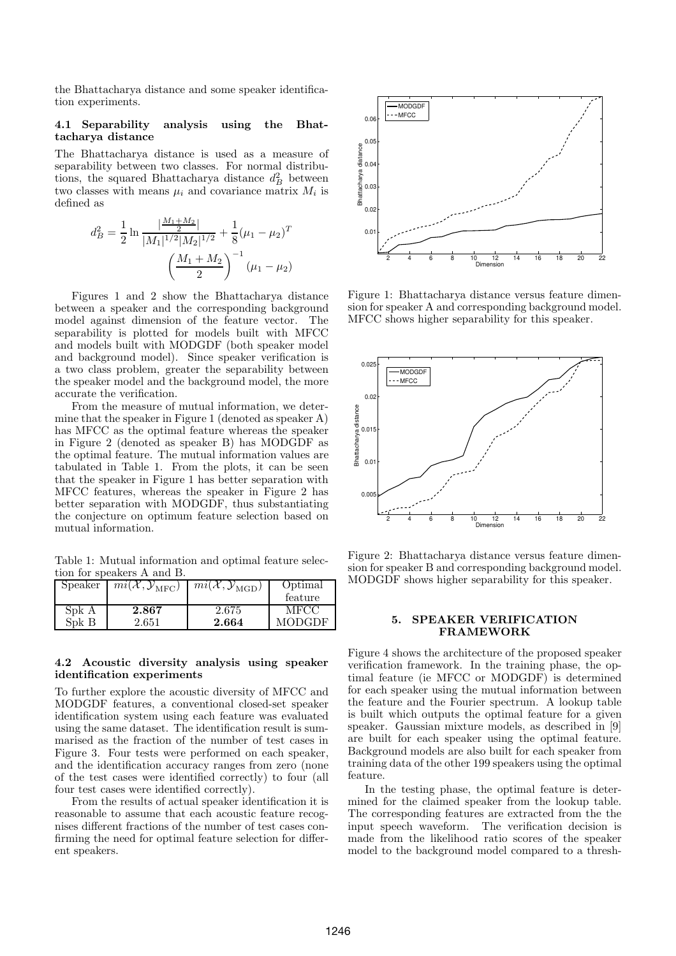the Bhattacharya distance and some speaker identification experiments.

### 4.1 Separability analysis using the Bhattacharya distance

The Bhattacharya distance is used as a measure of separability between two classes. For normal distributions, the squared Bhattacharya distance  $d_B^2$  between two classes with means  $\mu_i$  and covariance matrix  $M_i$  is defined as

$$
d_B^2 = \frac{1}{2} \ln \frac{\left|\frac{M_1 + M_2}{2}\right|}{|M_1|^{1/2}|M_2|^{1/2}} + \frac{1}{8} (\mu_1 - \mu_2)^T
$$

$$
\left(\frac{M_1 + M_2}{2}\right)^{-1} (\mu_1 - \mu_2)
$$

Figures 1 and 2 show the Bhattacharya distance between a speaker and the corresponding background model against dimension of the feature vector. The separability is plotted for models built with MFCC and models built with MODGDF (both speaker model and background model). Since speaker verification is a two class problem, greater the separability between the speaker model and the background model, the more accurate the verification.

From the measure of mutual information, we determine that the speaker in Figure 1 (denoted as speaker A) has MFCC as the optimal feature whereas the speaker in Figure 2 (denoted as speaker B) has MODGDF as the optimal feature. The mutual information values are tabulated in Table 1. From the plots, it can be seen that the speaker in Figure 1 has better separation with MFCC features, whereas the speaker in Figure 2 has better separation with MODGDF, thus substantiating the conjecture on optimum feature selection based on mutual information.

Table 1: Mutual information and optimal feature selection for speakers A and B.

| Speaker | $\overline{mi}(\mathcal{X}, \mathcal{Y}_{\text{MFC}})$ | $\overline{mi}(\mathcal{X}, \mathcal{Y}_{\text{MGD}})$ | Optimal<br>feature |
|---------|--------------------------------------------------------|--------------------------------------------------------|--------------------|
| Spk A   | 2.867                                                  | 2.675                                                  | MFCC               |
| Spk B   | 2.651                                                  | 2.664                                                  | MODGDF             |

## 4.2 Acoustic diversity analysis using speaker identification experiments

To further explore the acoustic diversity of MFCC and MODGDF features, a conventional closed-set speaker identification system using each feature was evaluated using the same dataset. The identification result is summarised as the fraction of the number of test cases in Figure 3. Four tests were performed on each speaker, and the identification accuracy ranges from zero (none of the test cases were identified correctly) to four (all four test cases were identified correctly).

From the results of actual speaker identification it is reasonable to assume that each acoustic feature recognises different fractions of the number of test cases confirming the need for optimal feature selection for different speakers.



Figure 1: Bhattacharya distance versus feature dimension for speaker A and corresponding background model. MFCC shows higher separability for this speaker.



Figure 2: Bhattacharya distance versus feature dimension for speaker B and corresponding background model. MODGDF shows higher separability for this speaker.

# 5. SPEAKER VERIFICATION FRAMEWORK

Figure 4 shows the architecture of the proposed speaker verification framework. In the training phase, the optimal feature (ie MFCC or MODGDF) is determined for each speaker using the mutual information between the feature and the Fourier spectrum. A lookup table is built which outputs the optimal feature for a given speaker. Gaussian mixture models, as described in [9] are built for each speaker using the optimal feature. Background models are also built for each speaker from training data of the other 199 speakers using the optimal feature.

In the testing phase, the optimal feature is determined for the claimed speaker from the lookup table. The corresponding features are extracted from the the input speech waveform. The verification decision is made from the likelihood ratio scores of the speaker model to the background model compared to a thresh-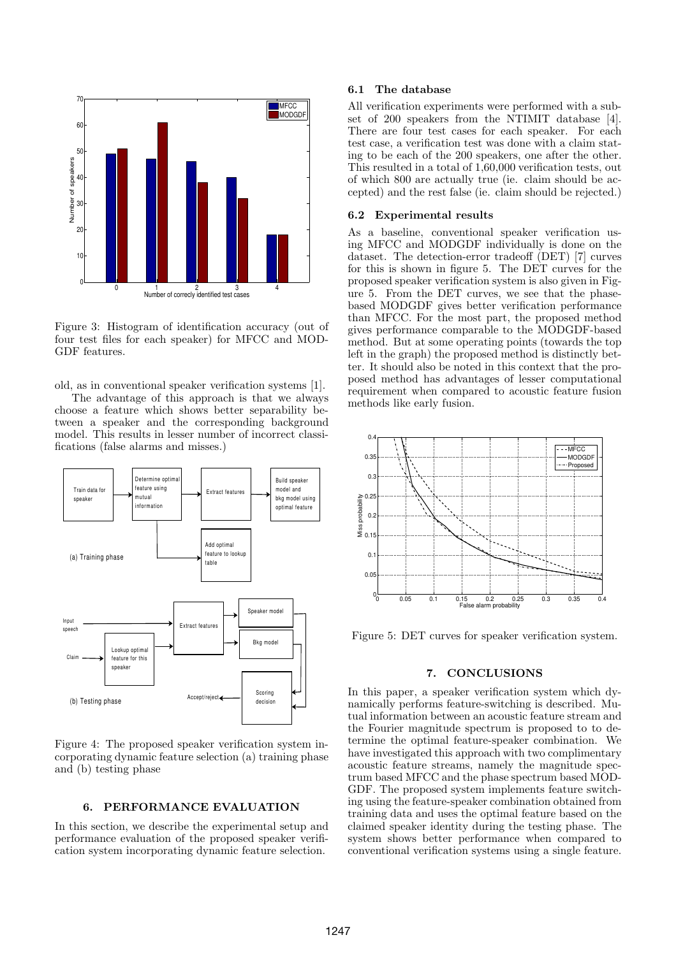

Figure 3: Histogram of identification accuracy (out of four test files for each speaker) for MFCC and MOD-GDF features.

old, as in conventional speaker verification systems [1].

The advantage of this approach is that we always choose a feature which shows better separability between a speaker and the corresponding background model. This results in lesser number of incorrect classifications (false alarms and misses.)



Figure 4: The proposed speaker verification system incorporating dynamic feature selection (a) training phase and (b) testing phase

# 6. PERFORMANCE EVALUATION

In this section, we describe the experimental setup and performance evaluation of the proposed speaker verification system incorporating dynamic feature selection.

#### 6.1 The database

All verification experiments were performed with a subset of 200 speakers from the NTIMIT database [4]. There are four test cases for each speaker. For each test case, a verification test was done with a claim stating to be each of the 200 speakers, one after the other. This resulted in a total of 1,60,000 verification tests, out of which 800 are actually true (ie. claim should be accepted) and the rest false (ie. claim should be rejected.)

#### 6.2 Experimental results

As a baseline, conventional speaker verification using MFCC and MODGDF individually is done on the dataset. The detection-error tradeoff (DET) [7] curves for this is shown in figure 5. The DET curves for the proposed speaker verification system is also given in Figure 5. From the DET curves, we see that the phasebased MODGDF gives better verification performance than MFCC. For the most part, the proposed method gives performance comparable to the MODGDF-based method. But at some operating points (towards the top left in the graph) the proposed method is distinctly better. It should also be noted in this context that the proposed method has advantages of lesser computational requirement when compared to acoustic feature fusion methods like early fusion.



Figure 5: DET curves for speaker verification system.

#### 7. CONCLUSIONS

In this paper, a speaker verification system which dynamically performs feature-switching is described. Mutual information between an acoustic feature stream and the Fourier magnitude spectrum is proposed to to determine the optimal feature-speaker combination. We have investigated this approach with two complimentary acoustic feature streams, namely the magnitude spectrum based MFCC and the phase spectrum based MOD-GDF. The proposed system implements feature switching using the feature-speaker combination obtained from training data and uses the optimal feature based on the claimed speaker identity during the testing phase. The system shows better performance when compared to conventional verification systems using a single feature.